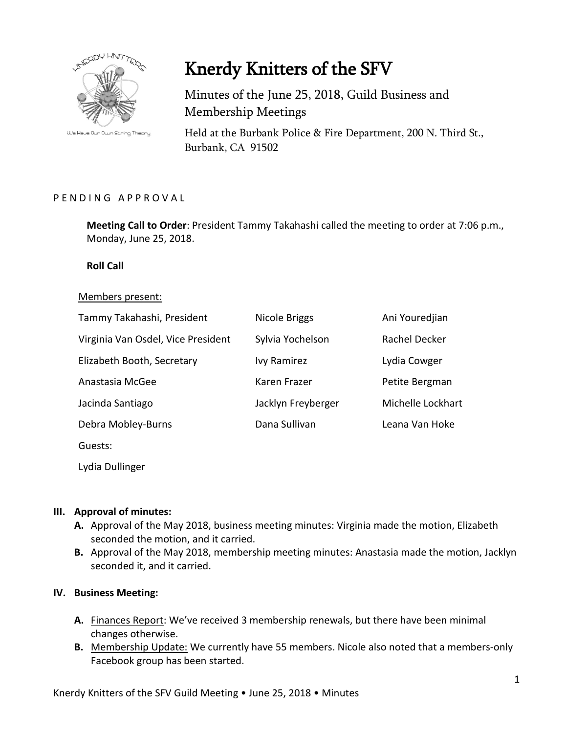

We Have Our Own String Theory

# Knerdy Knitters of the SFV

Minutes of the June 25, 2018, Guild Business and Membership Meetings

Held at the Burbank Police & Fire Department, 200 N. Third St., Burbank, CA 91502

### PENDING APPROVAL

**Meeting Call to Order**: President Tammy Takahashi called the meeting to order at 7:06 p.m., Monday, June 25, 2018.

**Roll Call**

#### Members present:

| Tammy Takahashi, President         | Nicole Briggs      | Ani Youredjian    |
|------------------------------------|--------------------|-------------------|
| Virginia Van Osdel, Vice President | Sylvia Yochelson   | Rachel Decker     |
| Elizabeth Booth, Secretary         | <b>Ivy Ramirez</b> | Lydia Cowger      |
| Anastasia McGee                    | Karen Frazer       | Petite Bergman    |
| Jacinda Santiago                   | Jacklyn Freyberger | Michelle Lockhart |
| Debra Mobley-Burns                 | Dana Sullivan      | Leana Van Hoke    |
| Guests:                            |                    |                   |
|                                    |                    |                   |

Lydia Dullinger

### **III. Approval of minutes:**

- **A.** Approval of the May 2018, business meeting minutes: Virginia made the motion, Elizabeth seconded the motion, and it carried.
- **B.** Approval of the May 2018, membership meeting minutes: Anastasia made the motion, Jacklyn seconded it, and it carried.

### **IV. Business Meeting:**

- **A.** Finances Report: We've received 3 membership renewals, but there have been minimal changes otherwise.
- **B.** Membership Update: We currently have 55 members. Nicole also noted that a members-only Facebook group has been started.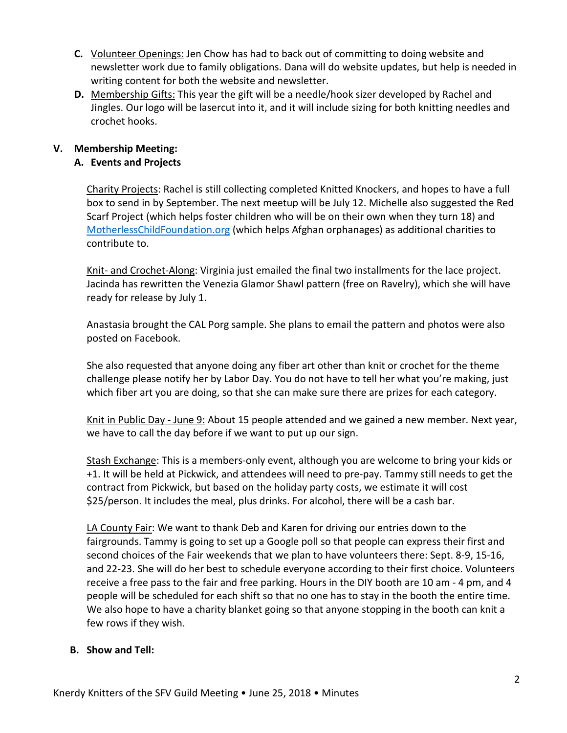- **C.** Volunteer Openings: Jen Chow has had to back out of committing to doing website and newsletter work due to family obligations. Dana will do website updates, but help is needed in writing content for both the website and newsletter.
- **D.** Membership Gifts: This year the gift will be a needle/hook sizer developed by Rachel and Jingles. Our logo will be lasercut into it, and it will include sizing for both knitting needles and crochet hooks.

## **V. Membership Meeting:**

## **A. Events and Projects**

Charity Projects: Rachel is still collecting completed Knitted Knockers, and hopes to have a full box to send in by September. The next meetup will be July 12. Michelle also suggested the Red Scarf Project (which helps foster children who will be on their own when they turn 18) and [MotherlessChildFoundation.org](http://motherlesschildfoundation.org/) (which helps Afghan orphanages) as additional charities to contribute to.

Knit- and Crochet-Along: Virginia just emailed the final two installments for the lace project. Jacinda has rewritten the Venezia Glamor Shawl pattern (free on Ravelry), which she will have ready for release by July 1.

Anastasia brought the CAL Porg sample. She plans to email the pattern and photos were also posted on Facebook.

She also requested that anyone doing any fiber art other than knit or crochet for the theme challenge please notify her by Labor Day. You do not have to tell her what you're making, just which fiber art you are doing, so that she can make sure there are prizes for each category.

Knit in Public Day - June 9: About 15 people attended and we gained a new member. Next year, we have to call the day before if we want to put up our sign.

Stash Exchange: This is a members-only event, although you are welcome to bring your kids or +1. It will be held at Pickwick, and attendees will need to pre-pay. Tammy still needs to get the contract from Pickwick, but based on the holiday party costs, we estimate it will cost \$25/person. It includes the meal, plus drinks. For alcohol, there will be a cash bar.

LA County Fair: We want to thank Deb and Karen for driving our entries down to the fairgrounds. Tammy is going to set up a Google poll so that people can express their first and second choices of the Fair weekends that we plan to have volunteers there: Sept. 8-9, 15-16, and 22-23. She will do her best to schedule everyone according to their first choice. Volunteers receive a free pass to the fair and free parking. Hours in the DIY booth are 10 am - 4 pm, and 4 people will be scheduled for each shift so that no one has to stay in the booth the entire time. We also hope to have a charity blanket going so that anyone stopping in the booth can knit a few rows if they wish.

### **B. Show and Tell:**